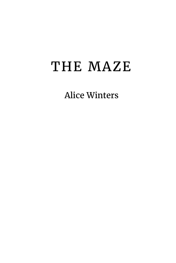## THE MAZE

Alice Winters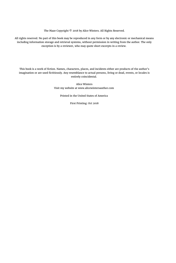The Maze Copyright © 2018 by Alice Winters. All Rights Reserved.

All rights reserved. No part of this book may be reproduced in any form or by any electronic or mechanical means including information storage and retrieval systems, without permission in writing from the author. The only exception is by a reviewer, who may quote short excerpts in a review.

This book is a work of fiction. Names, characters, places, and incidents either are products of the author's imagination or are used fictitiously. Any resemblance to actual persons, living or dead, events, or locales is entirely coincidental.

> Alice Winters Visit my website at www.alicewintersauthor.com

> > Printed in the United States of America

First Printing: Oct 2018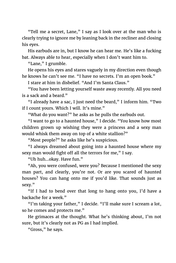"Tell me a secret, Lane," I say as I look over at the man who is clearly trying to ignore me by leaning back in the recliner and closing his eyes.

His earbuds are in, but I know he can hear me. He's like a fucking bat. Always able to hear, especially when I don't want him to.

"Lane," I grumble.

He opens his eyes and stares vaguely in my direction even though he knows he can't see me. "I have no secrets. I'm an open book."

I stare at him in disbelief. "And I'm Santa Claus."

"You have been letting yourself waste away recently. All you need is a sack and a beard."

"I already have a sac, I just need the beard," I inform him. "Two if I count yours. Which I will. It's mine."

"What do you want?" he asks as he pulls the earbuds out.

"I want to go to a haunted house," I decide. "You know how most children grown up wishing they were a princess and a sexy man would whisk them away on top of a white stallion?"

"Most people?" he asks like he's suspicious.

"I always dreamed about going into a haunted house where my sexy man would fight off all the terrors for me," I say.

"Uh huh…okay. Have fun."

"Ah, you were confused, were you? Because I mentioned the sexy man part, and clearly, you're not. Or are you scared of haunted houses? You can hang onto me if you'd like. That sounds just as sexy."

"If I had to bend over that long to hang onto you, I'd have a backache for a week."

"I'm taking your father," I decide. "I'll make sure I scream a lot, so he comes and protects me."

He grimaces at the thought. What he's thinking about, I'm not sure, but it's clearly not as PG as I had implied.

"Gross," he says.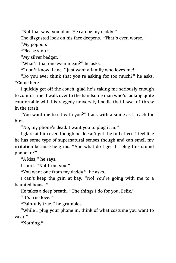"Not that way, you idiot. He can be my daddy."

The disgusted look on his face deepens. "That's even worse."

"My poppop."

"Please stop."

"My silver badger."

"What's that one even mean?" he asks.

"I don't know, Lane. I just want a family who loves me!"

"Do you ever think that you're asking for too much?" he asks. "Come here."

I quickly get off the couch, glad he's taking me seriously enough to comfort me. I walk over to the handsome man who's looking quite comfortable with his raggedy university hoodie that I swear I threw in the trash.

"You want me to sit with you?" I ask with a smile as I reach for him.

"No, my phone's dead. I want you to plug it in."

I glare at him even though he doesn't get the full effect. I feel like he has some type of supernatural senses though and can smell my irritation because he grins. "And what do I get if I plug this stupid phone in?"

"A kiss," he says.

I snort. "Not from you."

"You want one from my daddy?" he asks.

I can't keep the grin at bay. "No! You're going with me to a haunted house."

He takes a deep breath. "The things I do for you, Felix."

"It's true love."

"Painfully true," he grumbles.

"While I plug your phone in, think of what costume you want to wear."

"Nothing."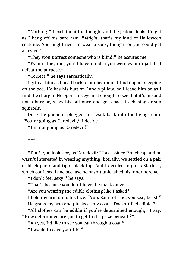"Nothing!" I exclaim at the thought and the jealous looks I'd get as I hang off his bare arm. "*Alright*, that's my kind of Halloween costume. You might need to wear a sock, though, or you could get arrested."

"They won't arrest someone who is blind," he assures me.

"Even if they did, you'd have no idea you were even in jail. It'd defeat the purpose."

"Correct," he says sarcastically.

I grin at him as I head back to our bedroom. I find Copper sleeping on the bed. He has his butt on Lane's pillow, so I leave him be as I find the charger. He opens his eye just enough to see that it's me and not a burglar, wags his tail once and goes back to chasing dream squirrels.

Once the phone is plugged in, I walk back into the living room. "You're going as Daredevil," I decide.

"I'm not going as Daredevil!"

\*\*\*

"Don't you look sexy as Daredevil?" I ask. Since I'm cheap and he wasn't interested in wearing anything, literally, we settled on a pair of black pants and tight black top. And I decided to go as Starlord, which confused Lane because he hasn't unleashed his inner nerd yet.

"I don't feel sexy," he says.

"That's because you don't have the mask on yet."

"Are you wearing the edible clothing like I asked?"

I hold my arm up to his face. "Yup. Eat it off me, you sexy beast." He grabs my arm and plucks at my coat. "Doesn't feel edible."

"All clothes can be edible if you're determined enough," I say. "How determined are you to get to the prize beneath?"

"Ah yes, I'd like to see you eat through a coat."

"I would to save your life."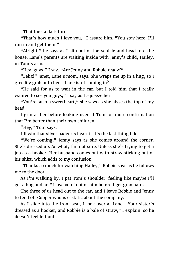"That took a dark turn."

"That's how much I love you," I assure him. "You stay here, I'll run in and get them."

"Alright," he says as I slip out of the vehicle and head into the house. Lane's parents are waiting inside with Jenny's child, Hailey, in Tom's arms.

"Hey, guys," I say. "Are Jenny and Robbie ready?"

"Felix!" Janet, Lane's mom, says. She wraps me up in a hug, so I greedily grab onto her. "Lane isn't coming in?"

"He said for us to wait in the car, but I told him that I really wanted to see you guys," I say as I squeeze her.

"You're such a sweetheart," she says as she kisses the top of my head.

I grin at her before looking over at Tom for more confirmation that I'm better than their own children.

"Hey," Tom says.

I'll win that silver badger's heart if it's the last thing I do.

"We're coming," Jenny says as she comes around the corner. She's dressed up. As what, I'm not sure. Unless she's trying to get a job as a hooker. Her husband comes out with straw sticking out of his shirt, which adds to my confusion.

"Thanks so much for watching Hailey," Robbie says as he follows me to the door.

As I'm walking by, I pat Tom's shoulder, feeling like maybe I'll get a hug and an "I love you" out of him before I get gray hairs.

The three of us head out to the car, and I leave Robbie and Jenny to fend off Copper who is ecstatic about the company.

As I slide into the front seat, I look over at Lane. "Your sister's dressed as a hooker, and Robbie is a bale of straw," I explain, so he doesn't feel left out.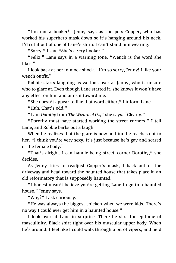"I'm not a hooker!" Jenny says as she pets Copper, who has worked his superhero mask down so it's hanging around his neck. I'd cut it out of one of Lane's shirts I can't stand him wearing.

"Sorry," I say. "She's a *sexy* hooker."

"Felix," Lane says in a warning tone. "Wench is the word she likes."

I look back at her in mock shock. "I'm so sorry, Jenny! I like your wench outfit."

Robbie starts laughing as we look over at Jenny, who is unsure who to glare at. Even though Lane started it, she knows it won't have any effect on him and aims it toward me.

"She doesn't appear to like that word either," I inform Lane.

"Huh. That's odd."

"I am *Dorothy* from *The Wizard of Oz*," she says. "Clearly."

"Dorothy must have started working the street corners," I tell Lane, and Robbie barks out a laugh.

When he realizes that the glare is now on him, he reaches out to her. "I think you're very sexy. It's just because he's gay and scared of the female body."

"That's alright. I can handle being street-corner Dorothy," she decides.

As Jenny tries to readjust Copper's mask, I back out of the driveway and head toward the haunted house that takes place in an old reformatory that is supposedly haunted.

"I honestly can't believe you're getting Lane to go to a haunted house," Jenny says.

"Why?" I ask curiously.

"He was always the biggest chicken when we were kids. There's no way I could ever get him in a haunted house."

I look over at Lane in surprise. There he sits, the epitome of masculinity. Black shirt tight over his muscular upper body. When he's around, I feel like I could walk through a pit of vipers, and he'd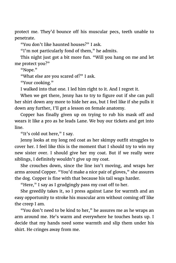protect me. They'd bounce off his muscular pecs, teeth unable to penetrate.

"You don't like haunted houses?" I ask.

"I'm not particularly fond of them," he admits.

This night just got a bit more fun. "Will you hang on me and let me protect you?"

"Nope."

"What else are you scared of?" I ask.

"Your cooking."

I walked into that one. I led him right to it. And I regret it.

When we get there, Jenny has to try to figure out if she can pull her shirt down any more to hide her ass, but I feel like if she pulls it down any further, I'll get a lesson on female anatomy.

Copper has finally given up on trying to rub his mask off and wears it like a pro as he leads Lane. We buy our tickets and get into line.

"It's cold out here," I say.

Jenny looks at my long red coat as her skimpy outfit struggles to cover her. I feel like this is the moment that I should try to win my new sister over. I should give her my coat. But if we really were siblings, I definitely wouldn't give up my coat.

She crouches down, since the line isn't moving, and wraps her arms around Copper. "You'd make a nice pair of gloves," she assures the dog. Copper is fine with that because his tail wags harder.

"Here," I say as I grudgingly pass my coat off to her.

She greedily takes it, so I press against Lane for warmth and an easy opportunity to stroke his muscular arm without coming off like the creep I am.

"You don't need to be kind to her," he assures me as he wraps an arm around me. He's warm and everywhere he touches heats up. I decide that my hands need some warmth and slip them under his shirt. He cringes away from me.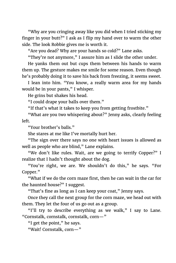"Why are you cringing away like you did when I tried sticking my finger in your butt?" I ask as I flip my hand over to warm the other side. The look Robbie gives me is worth it.

"Are you dead? Why are your hands so cold?" Lane asks.

"They're not anymore," I assure him as I slide the other under.

He yanks them out but cups them between his hands to warm them up. The gesture makes me smile for some reason. Even though he's probably doing it to save his back from freezing, it seems sweet.

I lean into him. "You know, a really warm area for my hands would be in your pants," I whisper.

He grins but shakes his head.

"I could drape your balls over them."

"If that's what it takes to keep you from getting frostbite."

"What are you two whispering about?" Jenny asks, clearly feeling left.

"Your brother's balls."

She stares at me like I've mortally hurt her.

"The sign over there says no one with heart issues is allowed as well as people who are blind," Lane explains.

"We don't like rules. Wait, are we going to terrify Copper?" I realize that I hadn't thought about the dog.

"You're right, we are. We shouldn't do this," he says. "For Copper."

"What if we do the corn maze first, then he can wait in the car for the haunted house?" I suggest.

"That's fine as long as I can keep your coat," Jenny says.

Once they call the next group for the corn maze, we head out with them. They let the four of us go out as a group.

"I'll try to describe everything as we walk," I say to Lane. "Cornstalk, cornstalk, cornstalk, corn—"

"I get the point," he says.

"Wait! Cornstalk, corn—"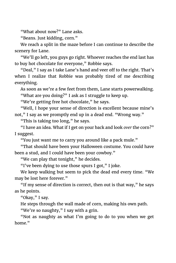"What about now?" Lane asks.

"Beans. Just kidding, corn."

We reach a split in the maze before I can continue to describe the scenery for Lane.

"We'll go left, you guys go right. Whoever reaches the end last has to buy hot chocolate for everyone," Robbie says.

"Deal," I say as I take Lane's hand and veer off to the right. That's when I realize that Robbie was probably tired of me describing everything.

As soon as we're a few feet from them, Lane starts powerwalking. "What are you doing?" I ask as I struggle to keep up.

"We're getting free hot chocolate," he says.

"Well, I hope your sense of direction is excellent because mine's not," I say as we promptly end up in a dead end. "Wrong way."

"This is taking too long," he says.

"I have an idea. What if I get on your back and look *over* the corn?" I suggest.

"You just want me to carry you around like a pack mule."

"That should have been your Halloween costume. You could have been a stud, and I could have been your cowboy."

"We can play that tonight," he decides.

"I've been dying to use those spurs I got," I joke.

We keep walking but seem to pick the dead end every time. "We may be lost here forever."

"If my sense of direction is correct, then out is that way," he says as he points.

"Okay," I say.

He steps through the wall made of corn, making his own path.

"We're so naughty," I say with a grin.

"Not as naughty as what I'm going to do to you when we get home."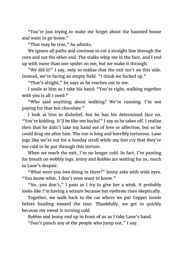"You're just trying to make me forget about the haunted house and want to go home."

"That may be true," he admits.

We ignore all paths and continue to cut a straight line through the corn and out the other end. The stalks whip me in the face, and I end up with more than one spider on me, but we make it through.

"We did it!" I say, only to realize that the exit isn't on this side. Instead, we're facing an empty field. "I think we fucked up."

"That's alright," he says as he reaches out to me.

I smile at him as I take his hand. "You're right, walking together with you is all I need."

"Who said anything about walking? We're running. I'm not paying for that hot chocolate."

I look at him in disbelief, but he has his determined face on. "You're kidding. It'll be like ten bucks!" I say as he takes off. I realize then that he didn't take my hand out of love or affection, but so he could drag me after him. The run is long and horribly torturous. Lane jogs like we're out for a Sunday stroll while my feet cry that they're too cold to be put through this torture.

When we reach the exit, I'm no longer cold. In fact, I'm panting for breath on wobbly legs. Jenny and Robbie are waiting for us, much to Lane's despair.

"What were you two doing in there?" Jenny asks with wide eyes. "You know what, I don't even want to know."

"No…you don't," I pant as I try to give her a wink. It probably looks like I'm having a seizure because her eyebrow rises skeptically.

Together, we walk back to the car where we put Copper inside before heading toward the tour. Thankfully, we get in quickly because my sweat is turning cold.

Robbie and Jenny end up in front of us as I take Lane's hand.

"Don't punch any of the people who jump out," I say.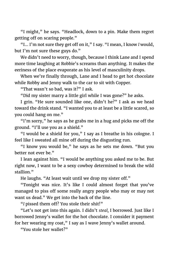"I might," he says. "Headlock, down to a pin. Make them regret getting off on scaring people."

"I… I'm not sure they get off on it," I say. "I mean, I know *I* would, but I'm not sure these guys do."

We didn't need to worry, though, because I think Lane and I spend more time laughing at Robbie's screams than anything. It makes the eeriness of the place evaporate as his level of masculinity drops.

When we're finally through, Lane and I head to get hot chocolate while Robby and Jenny walk to the car to sit with Copper.

"That wasn't so bad, was it?" I ask.

"Did my sister marry a little girl while I was gone?" he asks.

I grin. "He sure sounded like one, didn't he?" I ask as we head toward the drink stand. "I wanted you to at least be a little scared, so you could hang on me."

"I'm sorry," he says as he grabs me in a hug and picks me off the ground. "I'll use you as a shield."

"I would be a shield for you," I say as I breathe in his cologne. I feel like I sweated all mine off during the disgusting run.

"I know you would be," he says as he sets me down. "But you better not ever be."

I lean against him. "I would be anything you asked me to be. But right now, I want to be a sexy cowboy determined to break the wild stallion."

He laughs. "At least wait until we drop my sister off."

"Tonight was nice. It's like I could almost forget that you've managed to piss off some really angry people who may or may not want us dead." We get into the back of the line.

"*I* pissed them off? You stole their shit!"

"Let's not get into this again. I didn't *steal,* I borrowed. Just like I borrowed Jenny's wallet for the hot chocolate. I consider it payment for her wearing my coat," I say as I wave Jenny's wallet around.

"You stole her wallet?"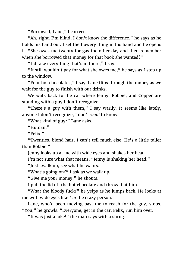"Borrowed, Lane," I correct.

"Ah, right. I'm blind, I don't know the difference," he says as he holds his hand out. I set the flowery thing in his hand and he opens it. "She owes me twenty for gas the other day and then remember when she borrowed that money for that book she wanted?"

"I'd take everything that's in there," I say.

"It still wouldn't pay for what she owes me," he says as I step up to the window.

"Four hot chocolates," I say. Lane flips through the money as we wait for the guy to finish with our drinks.

We walk back to the car where Jenny, Robbie, and Copper are standing with a guy I don't recognize.

"There's a guy with them," I say warily. It seems like lately, anyone I don't recognize, I don't *want* to know.

"What kind of guy?" Lane asks.

"Human."

"Felix."

"Twenties, blond hair, I can't tell much else. He's a little taller than Robbie."

Jenny looks up at me with wide eyes and shakes her head.

I'm not sure what that means. "Jenny is shaking her head."

"Just…walk up, see what he wants."

"What's going on?" I ask as we walk up.

"Give me your money," he shouts.

I pull the lid off the hot chocolate and throw it at him.

"What the bloody fuck?" he yelps as he jumps back. He looks at me with wide eyes like *I'm* the crazy person.

Lane, who'd been moving past me to reach for the guy, stops. "You," he growls. "Everyone, get in the car. Felix, run him over."

"It was just a joke!" the man says with a shrug.